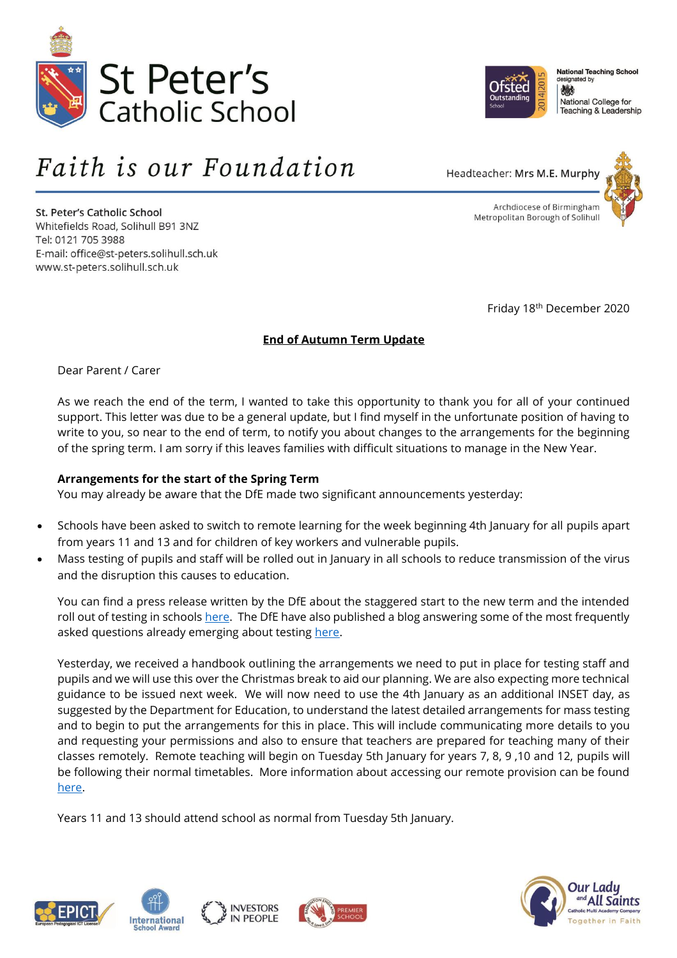



St. Peter's Catholic School Whitefields Road, Solihull B91 3NZ Tel: 0121 705 3988 E-mail: office@st-peters.solihull.sch.uk www.st-peters.solihull.sch.uk



**National Teaching School** esigna ted by 戀 National College for Teaching & Leadership



Archdiocese of Birmingham Metropolitan Borough of Solihull

Friday 18th December 2020

# **End of Autumn Term Update**

Dear Parent / Carer

As we reach the end of the term, I wanted to take this opportunity to thank you for all of your continued support. This letter was due to be a general update, but I find myself in the unfortunate position of having to write to you, so near to the end of term, to notify you about changes to the arrangements for the beginning of the spring term. I am sorry if this leaves families with difficult situations to manage in the New Year.

# **Arrangements for the start of the Spring Term**

You may already be aware that the DfE made two significant announcements yesterday:

- Schools have been asked to switch to remote learning for the week beginning 4th January for all pupils apart from years 11 and 13 and for children of key workers and vulnerable pupils.
- Mass testing of pupils and staff will be rolled out in January in all schools to reduce transmission of the virus and the disruption this causes to education.

You can find a press release written by the DfE about the staggered start to the new term and the intended roll out of testing in schools [here.](https://www.gov.uk/government/news/staggered-rollout-of-coronavirus-testing-for-secondary-schools-and-colleges) The DfE have also published a blog answering some of the most frequently asked questions already emerging about testing [here.](https://dfemedia.blog.gov.uk/2020/12/17/coronavirus-screening-for-secondary-and-college-students-in-the-first-week-of-the-spring-term-your-questions-answered/)

Yesterday, we received a handbook outlining the arrangements we need to put in place for testing staff and pupils and we will use this over the Christmas break to aid our planning. We are also expecting more technical guidance to be issued next week. We will now need to use the 4th January as an additional INSET day, as suggested by the Department for Education, to understand the latest detailed arrangements for mass testing and to begin to put the arrangements for this in place. This will include communicating more details to you and requesting your permissions and also to ensure that teachers are prepared for teaching many of their classes remotely. Remote teaching will begin on Tuesday 5th January for years 7, 8, 9 ,10 and 12, pupils will be following their normal timetables. More information about accessing our remote provision can be found [here.](https://458283-1503128-raikfcquaxqncofqfm.stackpathdns.com/media/uploads/St-Peters-Catholic-School-Digital-Contingency-Plan-Sept-2020-1.pdf)

Years 11 and 13 should attend school as normal from Tuesday 5th January.









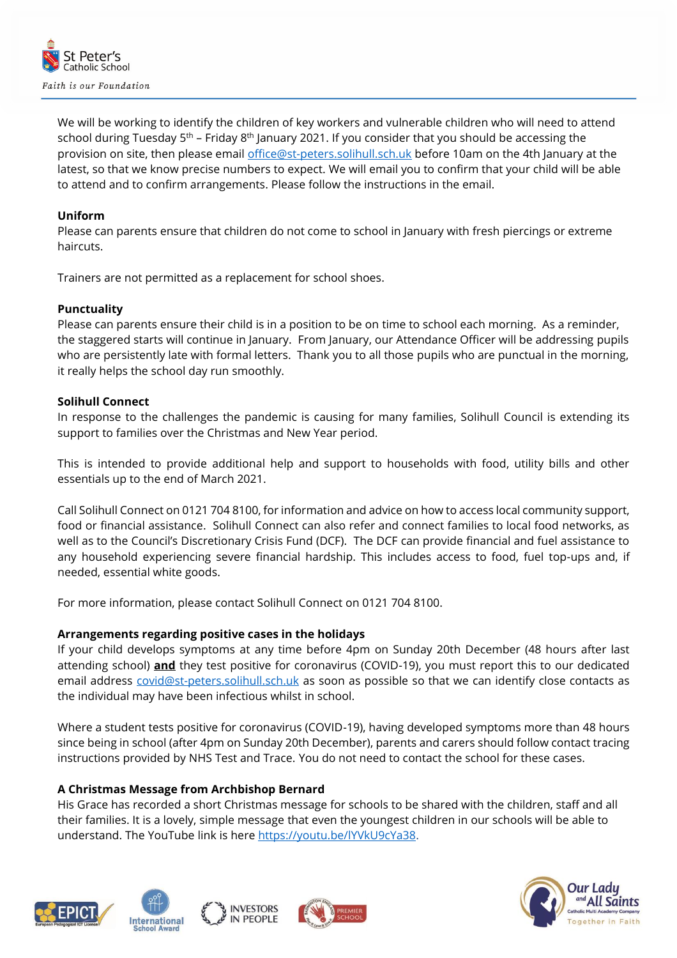

We will be working to identify the children of key workers and vulnerable children who will need to attend school during Tuesday  $5<sup>th</sup>$  – Friday  $8<sup>th</sup>$  January 2021. If you consider that you should be accessing the provision on site, then please email [office@st-peters.solihull.sch.uk](mailto:office@st-peters.solihull.sch.uk) before 10am on the 4th January at the latest, so that we know precise numbers to expect. We will email you to confirm that your child will be able to attend and to confirm arrangements. Please follow the instructions in the email.

## **Uniform**

Please can parents ensure that children do not come to school in January with fresh piercings or extreme haircuts.

Trainers are not permitted as a replacement for school shoes.

#### **Punctuality**

Please can parents ensure their child is in a position to be on time to school each morning. As a reminder, the staggered starts will continue in January. From January, our Attendance Officer will be addressing pupils who are persistently late with formal letters. Thank you to all those pupils who are punctual in the morning, it really helps the school day run smoothly.

#### **Solihull Connect**

In response to the challenges the pandemic is causing for many families, Solihull Council is extending its support to families over the Christmas and New Year period.

This is intended to provide additional help and support to households with food, utility bills and other essentials up to the end of March 2021.

Call Solihull Connect on 0121 704 8100, for information and advice on how to access local community support, food or financial assistance. Solihull Connect can also refer and connect families to local food networks, as well as to the Council's Discretionary Crisis Fund (DCF). The DCF can provide financial and fuel assistance to any household experiencing severe financial hardship. This includes access to food, fuel top-ups and, if needed, essential white goods.

For more information, please contact Solihull Connect on 0121 704 8100.

# **Arrangements regarding positive cases in the holidays**

If your child develops symptoms at any time before 4pm on Sunday 20th December (48 hours after last attending school) **and** they test positive for coronavirus (COVID-19), you must report this to our dedicated email address [covid@st-peters.solihull.sch.uk](mailto:covid@st-peters.solihull.sch.uk) as soon as possible so that we can identify close contacts as the individual may have been infectious whilst in school.

Where a student tests positive for coronavirus (COVID-19), having developed symptoms more than 48 hours since being in school (after 4pm on Sunday 20th December), parents and carers should follow contact tracing instructions provided by NHS Test and Trace. You do not need to contact the school for these cases.

# **A Christmas Message from Archbishop Bernard**

His Grace has recorded a short Christmas message for schools to be shared with the children, staff and all their families. It is a lovely, simple message that even the youngest children in our schools will be able to understand. The YouTube link is here [https://youtu.be/lYVkU9cYa38.](https://protect-eu.mimecast.com/s/pXc5C3yr6uXy8ATjMTjp?domain=youtu.be)